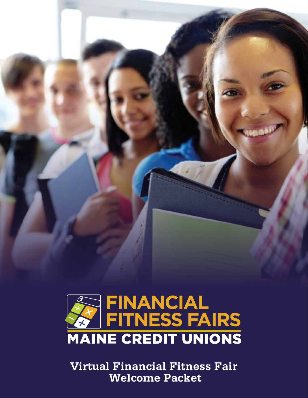



**Virtual Financial Fitness Fair Welcome Packet**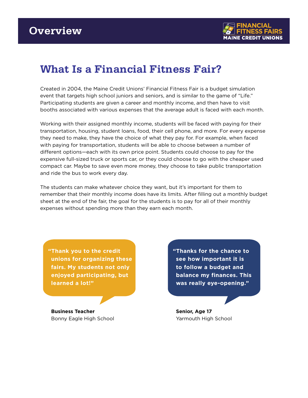

## **What Is a Financial Fitness Fair?**

Created in 2004, the Maine Credit Unions' Financial Fitness Fair is a budget simulation event that targets high school juniors and seniors, and is similar to the game of "Life." Participating students are given a career and monthly income, and then have to visit booths associated with various expenses that the average adult is faced with each month.

Working with their assigned monthly income, students will be faced with paying for their transportation, housing, student loans, food, their cell phone, and more. For every expense they need to make, they have the choice of what they pay for. For example, when faced with paying for transportation, students will be able to choose between a number of different options—each with its own price point. Students could choose to pay for the expensive full-sized truck or sports car, or they could choose to go with the cheaper used compact car. Maybe to save even more money, they choose to take public transportation and ride the bus to work every day.

The students can make whatever choice they want, but it's important for them to remember that their monthly income does have its limits. After filling out a monthly budget sheet at the end of the fair, the goal for the students is to pay for all of their monthly expenses without spending more than they earn each month.

**"Thank you to the credit unions for organizing these fairs. My students not only enjoyed participating, but learned a lot!"**

**Business Teacher** Bonny Eagle High School **"Thanks for the chance to see how important it is to follow a budget and balance my finances. This was really eye-opening."**

**Senior, Age 17** Yarmouth High School